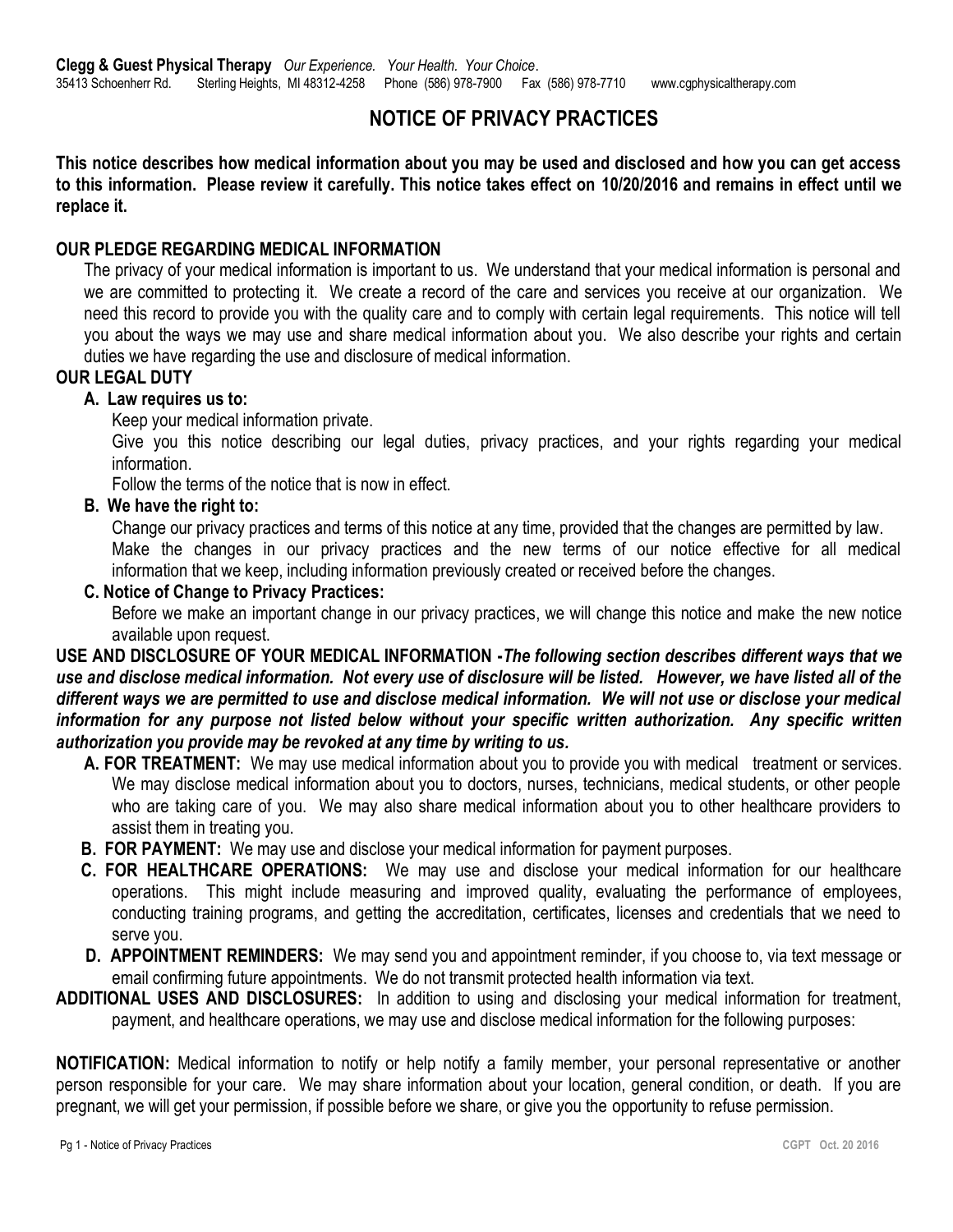# **NOTICE OF PRIVACY PRACTICES**

**This notice describes how medical information about you may be used and disclosed and how you can get access to this information. Please review it carefully. This notice takes effect on 10/20/2016 and remains in effect until we replace it.**

## **OUR PLEDGE REGARDING MEDICAL INFORMATION**

The privacy of your medical information is important to us. We understand that your medical information is personal and we are committed to protecting it. We create a record of the care and services you receive at our organization. We need this record to provide you with the quality care and to comply with certain legal requirements. This notice will tell you about the ways we may use and share medical information about you. We also describe your rights and certain duties we have regarding the use and disclosure of medical information.

## **OUR LEGAL DUTY**

#### **A. Law requires us to:**

Keep your medical information private.

Give you this notice describing our legal duties, privacy practices, and your rights regarding your medical information.

Follow the terms of the notice that is now in effect.

#### **B. We have the right to:**

Change our privacy practices and terms of this notice at any time, provided that the changes are permitted by law. Make the changes in our privacy practices and the new terms of our notice effective for all medical information that we keep, including information previously created or received before the changes.

## **C. Notice of Change to Privacy Practices:**

Before we make an important change in our privacy practices, we will change this notice and make the new notice available upon request.

## **USE AND DISCLOSURE OF YOUR MEDICAL INFORMATION -***The following section describes different ways that we use and disclose medical information. Not every use of disclosure will be listed. However, we have listed all of the different ways we are permitted to use and disclose medical information. We will not use or disclose your medical information for any purpose not listed below without your specific written authorization. Any specific written authorization you provide may be revoked at any time by writing to us.*

- **A. FOR TREATMENT:** We may use medical information about you to provide you with medical treatment or services. We may disclose medical information about you to doctors, nurses, technicians, medical students, or other people who are taking care of you. We may also share medical information about you to other healthcare providers to assist them in treating you.
- **B. FOR PAYMENT:** We may use and disclose your medical information for payment purposes.
- **C. FOR HEALTHCARE OPERATIONS:** We may use and disclose your medical information for our healthcare operations. This might include measuring and improved quality, evaluating the performance of employees, conducting training programs, and getting the accreditation, certificates, licenses and credentials that we need to serve you.
- **D. APPOINTMENT REMINDERS:** We may send you and appointment reminder, if you choose to, via text message or email confirming future appointments. We do not transmit protected health information via text.
- **ADDITIONAL USES AND DISCLOSURES:** In addition to using and disclosing your medical information for treatment, payment, and healthcare operations, we may use and disclose medical information for the following purposes:

**NOTIFICATION:** Medical information to notify or help notify a family member, your personal representative or another person responsible for your care. We may share information about your location, general condition, or death. If you are pregnant, we will get your permission, if possible before we share, or give you the opportunity to refuse permission.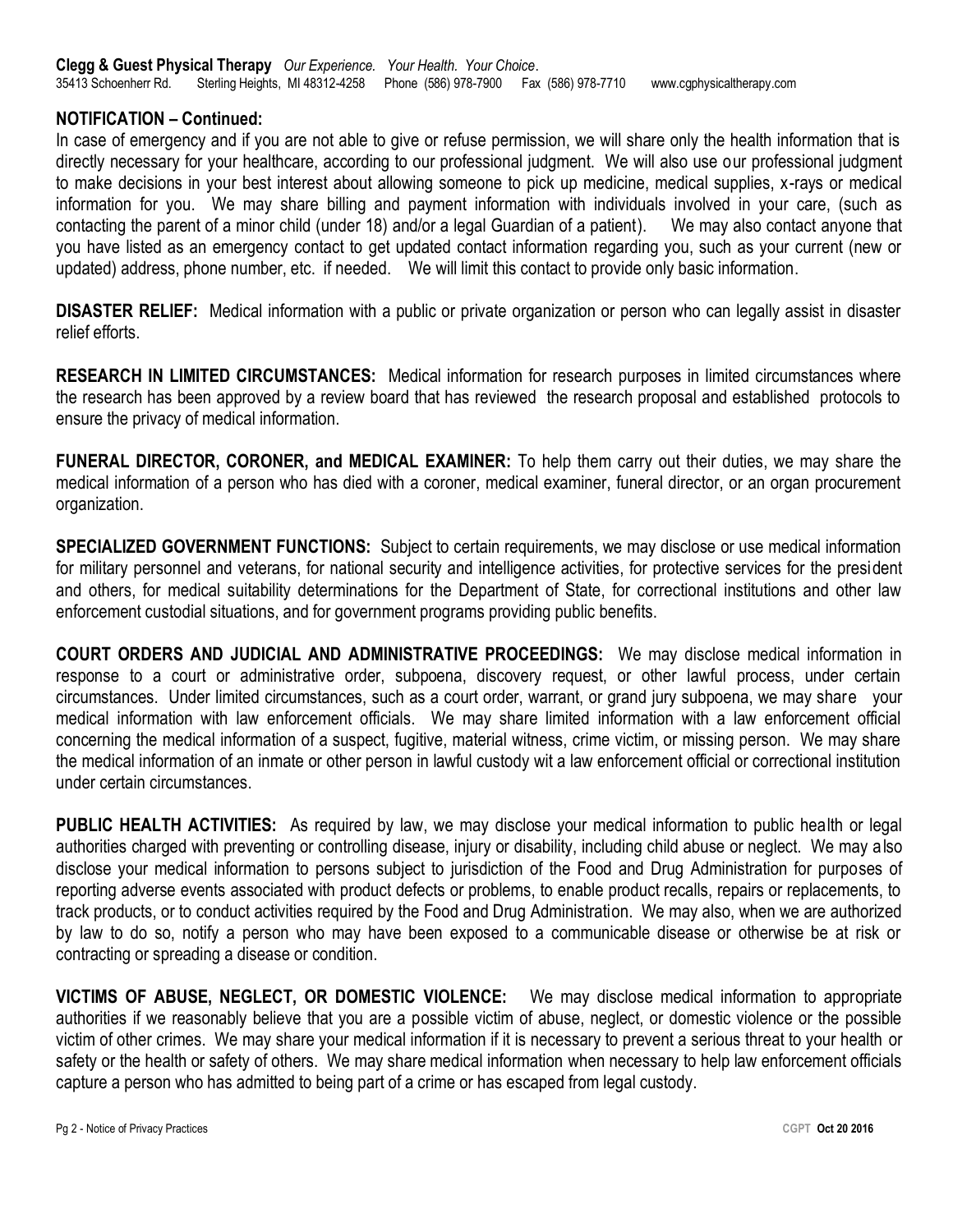## **NOTIFICATION – Continued:**

In case of emergency and if you are not able to give or refuse permission, we will share only the health information that is directly necessary for your healthcare, according to our professional judgment. We will also use our professional judgment to make decisions in your best interest about allowing someone to pick up medicine, medical supplies, x-rays or medical information for you. We may share billing and payment information with individuals involved in your care, (such as contacting the parent of a minor child (under 18) and/or a legal Guardian of a patient). We may also contact anyone that you have listed as an emergency contact to get updated contact information regarding you, such as your current (new or updated) address, phone number, etc. if needed. We will limit this contact to provide only basic information.

**DISASTER RELIEF:** Medical information with a public or private organization or person who can legally assist in disaster relief efforts.

**RESEARCH IN LIMITED CIRCUMSTANCES:** Medical information for research purposes in limited circumstances where the research has been approved by a review board that has reviewed the research proposal and established protocols to ensure the privacy of medical information.

**FUNERAL DIRECTOR, CORONER, and MEDICAL EXAMINER:** To help them carry out their duties, we may share the medical information of a person who has died with a coroner, medical examiner, funeral director, or an organ procurement organization.

**SPECIALIZED GOVERNMENT FUNCTIONS:** Subject to certain requirements, we may disclose or use medical information for military personnel and veterans, for national security and intelligence activities, for protective services for the president and others, for medical suitability determinations for the Department of State, for correctional institutions and other law enforcement custodial situations, and for government programs providing public benefits.

**COURT ORDERS AND JUDICIAL AND ADMINISTRATIVE PROCEEDINGS:** We may disclose medical information in response to a court or administrative order, subpoena, discovery request, or other lawful process, under certain circumstances. Under limited circumstances, such as a court order, warrant, or grand jury subpoena, we may share your medical information with law enforcement officials. We may share limited information with a law enforcement official concerning the medical information of a suspect, fugitive, material witness, crime victim, or missing person. We may share the medical information of an inmate or other person in lawful custody wit a law enforcement official or correctional institution under certain circumstances.

**PUBLIC HEALTH ACTIVITIES:** As required by law, we may disclose your medical information to public health or legal authorities charged with preventing or controlling disease, injury or disability, including child abuse or neglect. We may also disclose your medical information to persons subject to jurisdiction of the Food and Drug Administration for purposes of reporting adverse events associated with product defects or problems, to enable product recalls, repairs or replacements, to track products, or to conduct activities required by the Food and Drug Administration. We may also, when we are authorized by law to do so, notify a person who may have been exposed to a communicable disease or otherwise be at risk or contracting or spreading a disease or condition.

**VICTIMS OF ABUSE, NEGLECT, OR DOMESTIC VIOLENCE:** We may disclose medical information to appropriate authorities if we reasonably believe that you are a possible victim of abuse, neglect, or domestic violence or the possible victim of other crimes. We may share your medical information if it is necessary to prevent a serious threat to your health or safety or the health or safety of others. We may share medical information when necessary to help law enforcement officials capture a person who has admitted to being part of a crime or has escaped from legal custody.